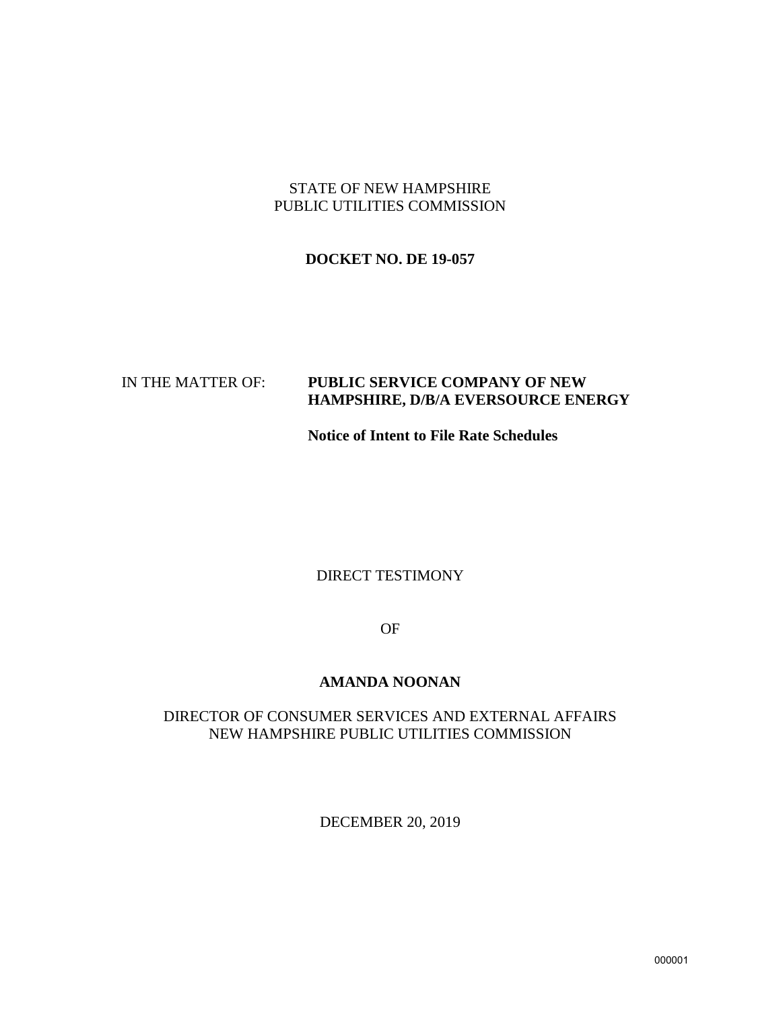# STATE OF NEW HAMPSHIRE PUBLIC UTILITIES COMMISSION

# **DOCKET NO. DE 19-057**

# IN THE MATTER OF: **PUBLIC SERVICE COMPANY OF NEW HAMPSHIRE, D/B/A EVERSOURCE ENERGY**

**Notice of Intent to File Rate Schedules**

## DIRECT TESTIMONY

OF

## **AMANDA NOONAN**

# DIRECTOR OF CONSUMER SERVICES AND EXTERNAL AFFAIRS NEW HAMPSHIRE PUBLIC UTILITIES COMMISSION

DECEMBER 20, 2019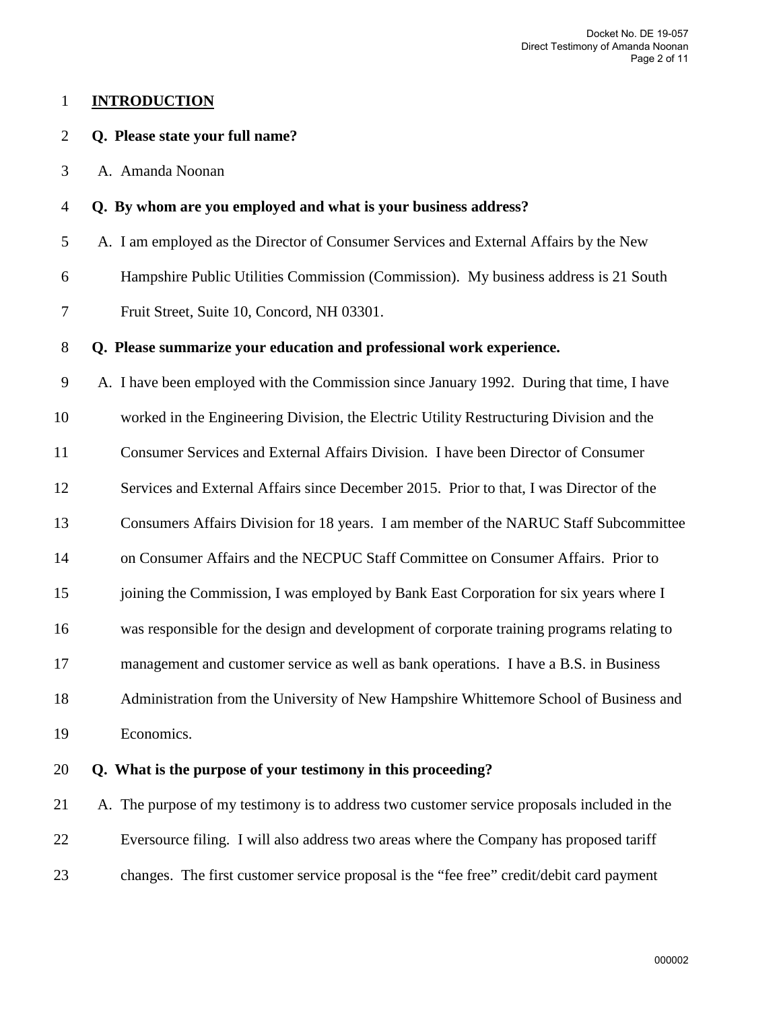## 1 **INTRODUCTION**

## 2 **Q. Please state your full name?**

3 A. Amanda Noonan

#### 4 **Q. By whom are you employed and what is your business address?**

5 A. I am employed as the Director of Consumer Services and External Affairs by the New

6 Hampshire Public Utilities Commission (Commission). My business address is 21 South

7 Fruit Street, Suite 10, Concord, NH 03301.

#### 8 **Q. Please summarize your education and professional work experience.**

9 A. I have been employed with the Commission since January 1992. During that time, I have

10 worked in the Engineering Division, the Electric Utility Restructuring Division and the

11 Consumer Services and External Affairs Division. I have been Director of Consumer

12 Services and External Affairs since December 2015. Prior to that, I was Director of the

13 Consumers Affairs Division for 18 years. I am member of the NARUC Staff Subcommittee

14 on Consumer Affairs and the NECPUC Staff Committee on Consumer Affairs. Prior to

15 joining the Commission, I was employed by Bank East Corporation for six years where I

16 was responsible for the design and development of corporate training programs relating to

17 management and customer service as well as bank operations. I have a B.S. in Business

18 Administration from the University of New Hampshire Whittemore School of Business and

19 Economics.

# 20 **Q. What is the purpose of your testimony in this proceeding?**

21 A. The purpose of my testimony is to address two customer service proposals included in the 22 Eversource filing. I will also address two areas where the Company has proposed tariff 23 changes. The first customer service proposal is the "fee free" credit/debit card payment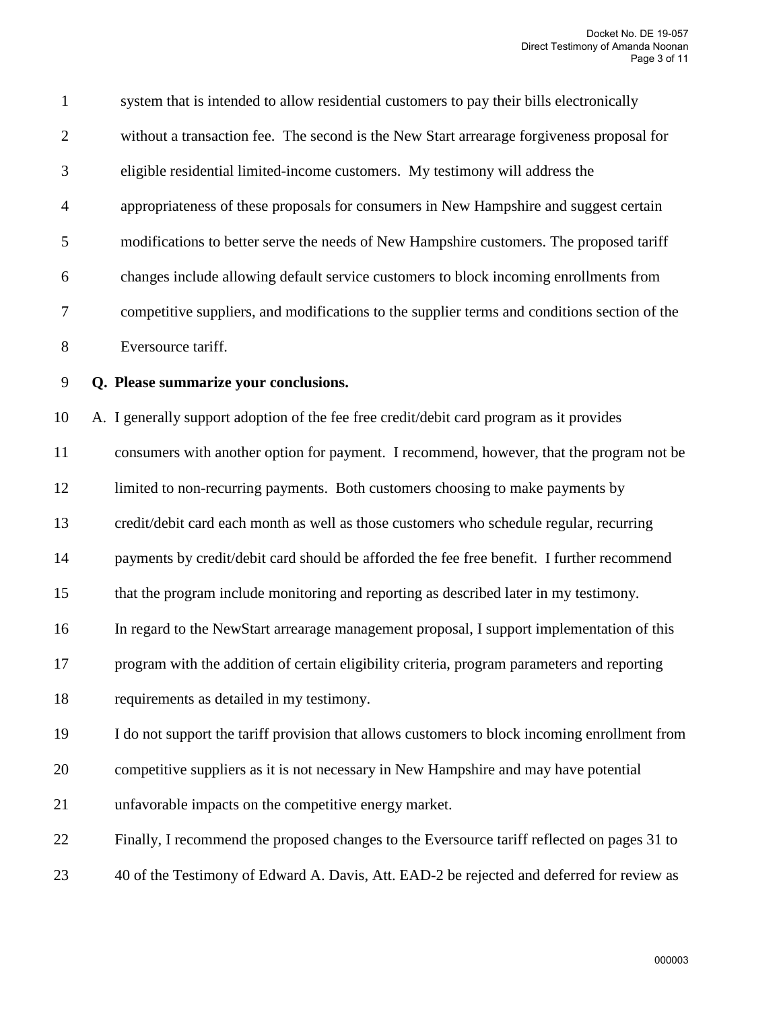| $\mathbf{1}$   | system that is intended to allow residential customers to pay their bills electronically      |
|----------------|-----------------------------------------------------------------------------------------------|
| $\overline{2}$ | without a transaction fee. The second is the New Start arrearage forgiveness proposal for     |
| 3              | eligible residential limited-income customers. My testimony will address the                  |
| $\overline{4}$ | appropriateness of these proposals for consumers in New Hampshire and suggest certain         |
| 5              | modifications to better serve the needs of New Hampshire customers. The proposed tariff       |
| 6              | changes include allowing default service customers to block incoming enrollments from         |
| 7              | competitive suppliers, and modifications to the supplier terms and conditions section of the  |
| 8              | Eversource tariff.                                                                            |
| 9              | Q. Please summarize your conclusions.                                                         |
| 10             | A. I generally support adoption of the fee free credit/debit card program as it provides      |
| 11             | consumers with another option for payment. I recommend, however, that the program not be      |
| 12             | limited to non-recurring payments. Both customers choosing to make payments by                |
| 13             | credit/debit card each month as well as those customers who schedule regular, recurring       |
| 14             | payments by credit/debit card should be afforded the fee free benefit. I further recommend    |
| 15             | that the program include monitoring and reporting as described later in my testimony.         |
| 16             | In regard to the NewStart arrearage management proposal, I support implementation of this     |
| 17             | program with the addition of certain eligibility criteria, program parameters and reporting   |
| 18             | requirements as detailed in my testimony.                                                     |
| 19             | I do not support the tariff provision that allows customers to block incoming enrollment from |
| 20             | competitive suppliers as it is not necessary in New Hampshire and may have potential          |
| 21             | unfavorable impacts on the competitive energy market.                                         |

22 Finally, I recommend the proposed changes to the Eversource tariff reflected on pages 31 to

23 40 of the Testimony of Edward A. Davis, Att. EAD-2 be rejected and deferred for review as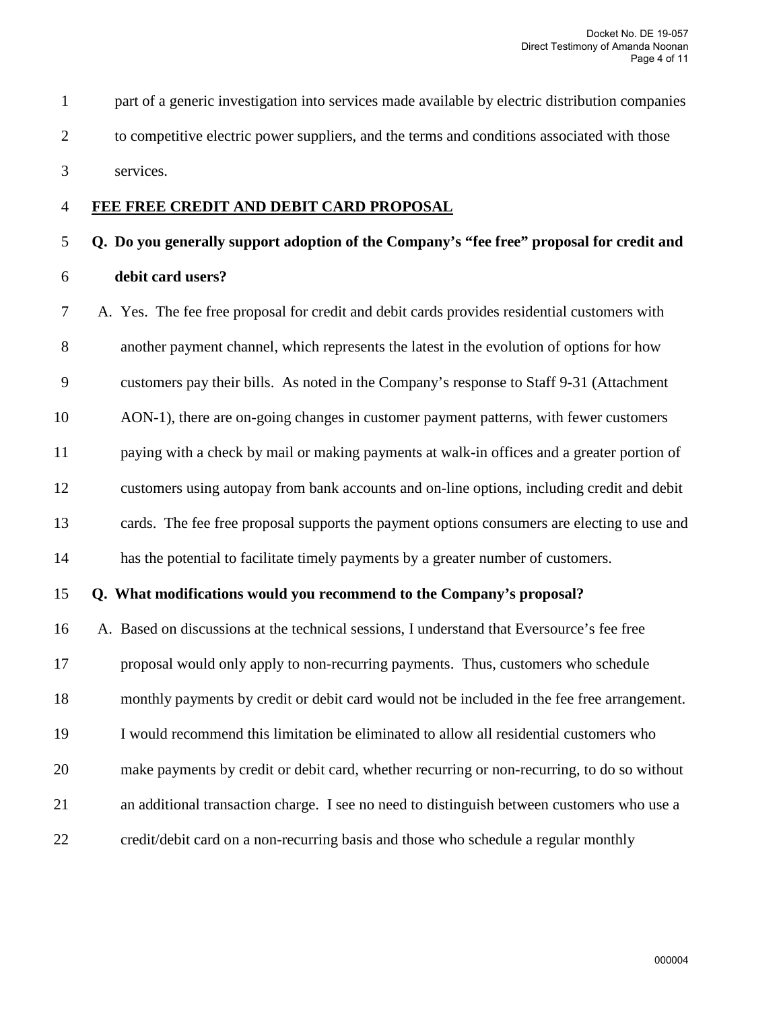1 part of a generic investigation into services made available by electric distribution companies 2 to competitive electric power suppliers, and the terms and conditions associated with those 3 services.

#### 4 **FEE FREE CREDIT AND DEBIT CARD PROPOSAL**

# 5 **Q. Do you generally support adoption of the Company's "fee free" proposal for credit and** 6 **debit card users?**

7 A. Yes. The fee free proposal for credit and debit cards provides residential customers with 8 another payment channel, which represents the latest in the evolution of options for how 9 customers pay their bills. As noted in the Company's response to Staff 9-31 (Attachment 10 AON-1), there are on-going changes in customer payment patterns, with fewer customers 11 paying with a check by mail or making payments at walk-in offices and a greater portion of 12 customers using autopay from bank accounts and on-line options, including credit and debit 13 cards. The fee free proposal supports the payment options consumers are electing to use and 14 has the potential to facilitate timely payments by a greater number of customers.

## 15 **Q. What modifications would you recommend to the Company's proposal?**

16 A. Based on discussions at the technical sessions, I understand that Eversource's fee free 17 proposal would only apply to non-recurring payments. Thus, customers who schedule 18 monthly payments by credit or debit card would not be included in the fee free arrangement. 19 I would recommend this limitation be eliminated to allow all residential customers who 20 make payments by credit or debit card, whether recurring or non-recurring, to do so without 21 an additional transaction charge. I see no need to distinguish between customers who use a 22 credit/debit card on a non-recurring basis and those who schedule a regular monthly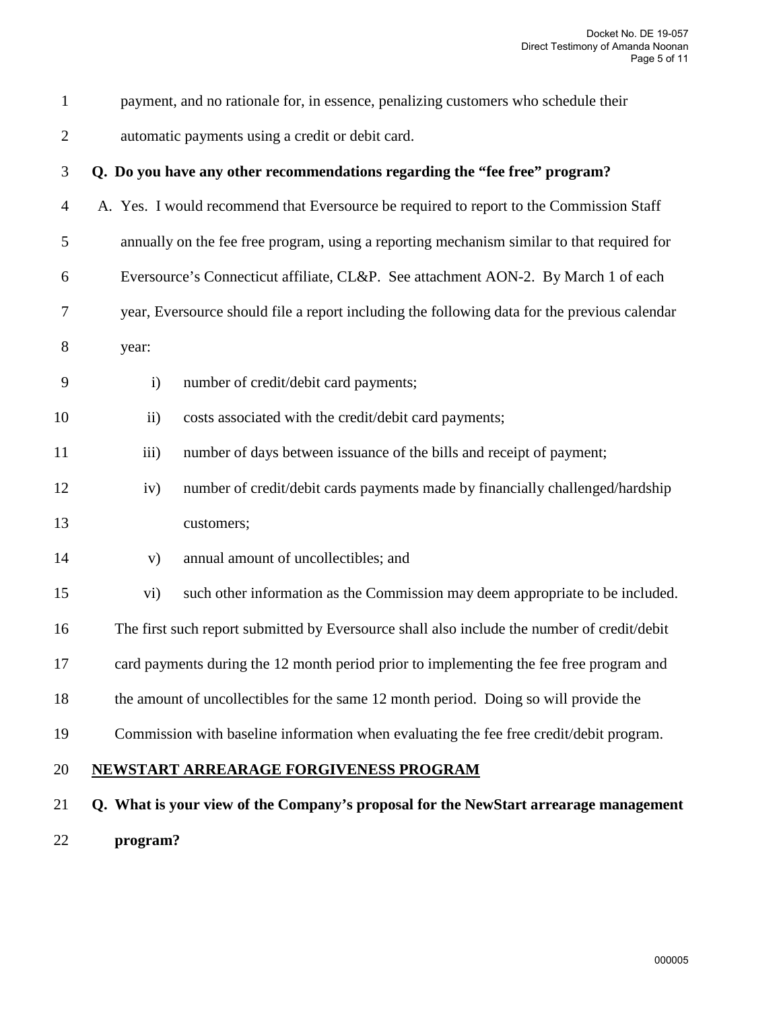1 payment, and no rationale for, in essence, penalizing customers who schedule their 2 automatic payments using a credit or debit card.

|  | Q. Do you have any other recommendations regarding the "fee free" program? |  |
|--|----------------------------------------------------------------------------|--|
|--|----------------------------------------------------------------------------|--|

- 4 A. Yes. I would recommend that Eversource be required to report to the Commission Staff
- 5 annually on the fee free program, using a reporting mechanism similar to that required for
- 6 Eversource's Connecticut affiliate, CL&P. See attachment AON-2. By March 1 of each
- 7 year, Eversource should file a report including the following data for the previous calendar
- 8 year:
- 9 i) number of credit/debit card payments;
- 10 ii) costs associated with the credit/debit card payments;
- 11 iii) number of days between issuance of the bills and receipt of payment;
- 12 iv) number of credit/debit cards payments made by financially challenged/hardship 13 customers;
- 14 v) annual amount of uncollectibles; and
- 15 vi) such other information as the Commission may deem appropriate to be included.
- 16 The first such report submitted by Eversource shall also include the number of credit/debit
- 17 card payments during the 12 month period prior to implementing the fee free program and
- 18 the amount of uncollectibles for the same 12 month period. Doing so will provide the
- 19 Commission with baseline information when evaluating the fee free credit/debit program.
- 20 **NEWSTART ARREARAGE FORGIVENESS PROGRAM**
- 21 **Q. What is your view of the Company's proposal for the NewStart arrearage management** 22 **program?**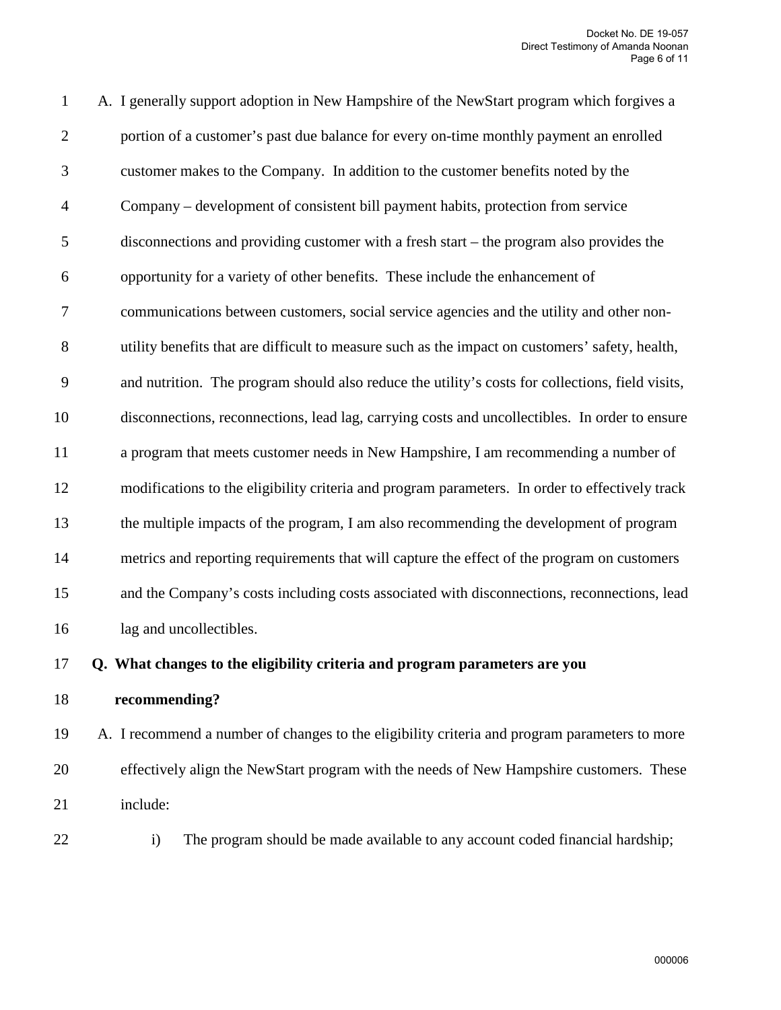1 A. I generally support adoption in New Hampshire of the NewStart program which forgives a 2 portion of a customer's past due balance for every on-time monthly payment an enrolled 3 customer makes to the Company. In addition to the customer benefits noted by the 4 Company – development of consistent bill payment habits, protection from service 5 disconnections and providing customer with a fresh start – the program also provides the 6 opportunity for a variety of other benefits. These include the enhancement of 7 communications between customers, social service agencies and the utility and other non-8 utility benefits that are difficult to measure such as the impact on customers' safety, health, 9 and nutrition. The program should also reduce the utility's costs for collections, field visits, 10 disconnections, reconnections, lead lag, carrying costs and uncollectibles. In order to ensure 11 a program that meets customer needs in New Hampshire, I am recommending a number of 12 modifications to the eligibility criteria and program parameters. In order to effectively track 13 the multiple impacts of the program, I am also recommending the development of program 14 metrics and reporting requirements that will capture the effect of the program on customers 15 and the Company's costs including costs associated with disconnections, reconnections, lead 16 lag and uncollectibles.

# 17 **Q. What changes to the eligibility criteria and program parameters are you**

18 **recommending?**

19 A. I recommend a number of changes to the eligibility criteria and program parameters to more 20 effectively align the NewStart program with the needs of New Hampshire customers. These 21 include:

- 
- 22 i) The program should be made available to any account coded financial hardship;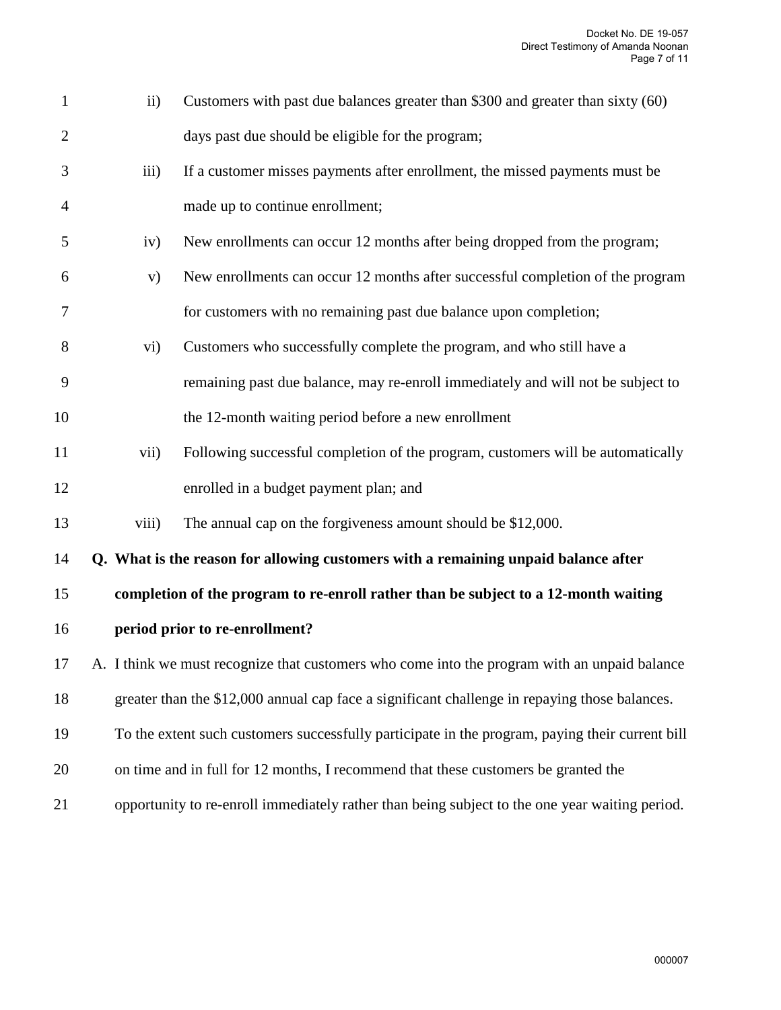| $\mathbf{1}$   | $\mathbf{ii}$                                                                                 | Customers with past due balances greater than \$300 and greater than sixty (60)                 |  |
|----------------|-----------------------------------------------------------------------------------------------|-------------------------------------------------------------------------------------------------|--|
| $\overline{2}$ |                                                                                               | days past due should be eligible for the program;                                               |  |
| 3              | iii)                                                                                          | If a customer misses payments after enrollment, the missed payments must be                     |  |
| $\overline{4}$ |                                                                                               | made up to continue enrollment;                                                                 |  |
| 5              | iv)                                                                                           | New enrollments can occur 12 months after being dropped from the program;                       |  |
| 6              | V)                                                                                            | New enrollments can occur 12 months after successful completion of the program                  |  |
| 7              |                                                                                               | for customers with no remaining past due balance upon completion;                               |  |
| 8              | $\rm vi)$                                                                                     | Customers who successfully complete the program, and who still have a                           |  |
| 9              |                                                                                               | remaining past due balance, may re-enroll immediately and will not be subject to                |  |
| 10             |                                                                                               | the 12-month waiting period before a new enrollment                                             |  |
| 11             | vii)                                                                                          | Following successful completion of the program, customers will be automatically                 |  |
| 12             |                                                                                               | enrolled in a budget payment plan; and                                                          |  |
| 13             | viii)                                                                                         | The annual cap on the forgiveness amount should be \$12,000.                                    |  |
| 14             |                                                                                               | Q. What is the reason for allowing customers with a remaining unpaid balance after              |  |
| 15             |                                                                                               | completion of the program to re-enroll rather than be subject to a 12-month waiting             |  |
| 16             |                                                                                               | period prior to re-enrollment?                                                                  |  |
| 17             | A. I think we must recognize that customers who come into the program with an unpaid balance  |                                                                                                 |  |
| 18             | greater than the \$12,000 annual cap face a significant challenge in repaying those balances. |                                                                                                 |  |
| 19             |                                                                                               | To the extent such customers successfully participate in the program, paying their current bill |  |
| 20             |                                                                                               | on time and in full for 12 months, I recommend that these customers be granted the              |  |
| 21             |                                                                                               | opportunity to re-enroll immediately rather than being subject to the one year waiting period.  |  |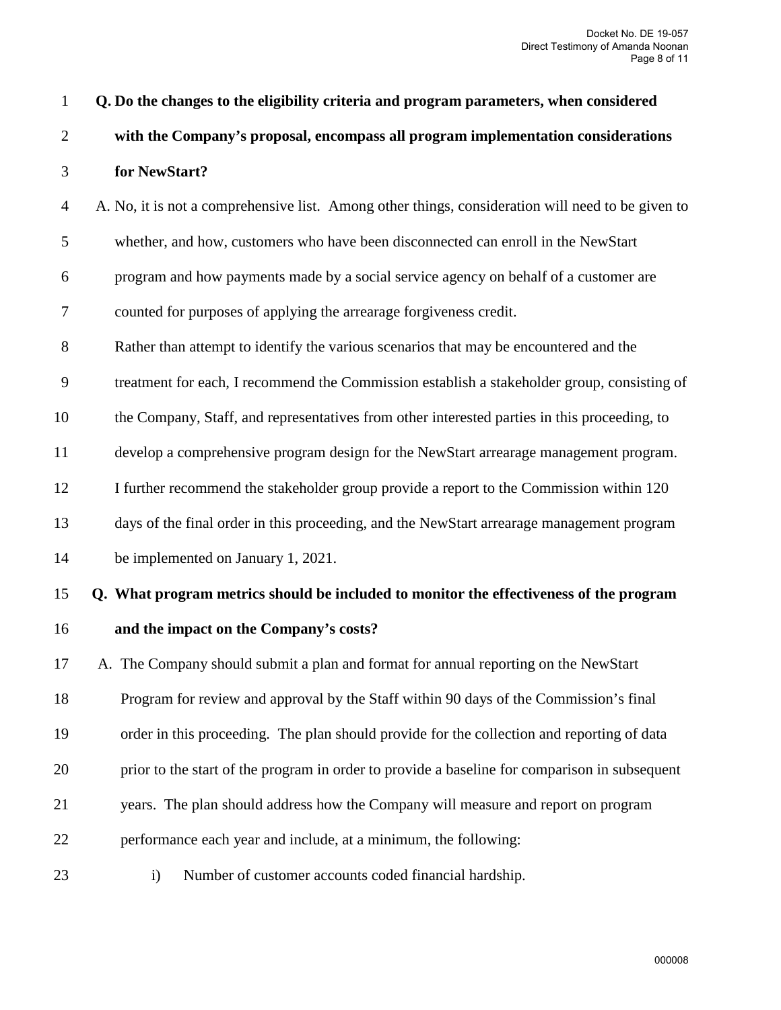| $\mathbf{1}$   | Q. Do the changes to the eligibility criteria and program parameters, when considered             |  |  |
|----------------|---------------------------------------------------------------------------------------------------|--|--|
| $\overline{2}$ | with the Company's proposal, encompass all program implementation considerations                  |  |  |
| 3              | for NewStart?                                                                                     |  |  |
| $\overline{4}$ | A. No, it is not a comprehensive list. Among other things, consideration will need to be given to |  |  |
| 5              | whether, and how, customers who have been disconnected can enroll in the NewStart                 |  |  |
| 6              | program and how payments made by a social service agency on behalf of a customer are              |  |  |
| 7              | counted for purposes of applying the arrearage forgiveness credit.                                |  |  |
| $8\,$          | Rather than attempt to identify the various scenarios that may be encountered and the             |  |  |
| 9              | treatment for each, I recommend the Commission establish a stakeholder group, consisting of       |  |  |
| 10             | the Company, Staff, and representatives from other interested parties in this proceeding, to      |  |  |
| 11             | develop a comprehensive program design for the NewStart arrearage management program.             |  |  |
| 12             | I further recommend the stakeholder group provide a report to the Commission within 120           |  |  |
| 13             | days of the final order in this proceeding, and the NewStart arrearage management program         |  |  |
| 14             | be implemented on January 1, 2021.                                                                |  |  |
| 15             | Q. What program metrics should be included to monitor the effectiveness of the program            |  |  |
| 16             | and the impact on the Company's costs?                                                            |  |  |
| 17             | A. The Company should submit a plan and format for annual reporting on the NewStart               |  |  |
| 18             | Program for review and approval by the Staff within 90 days of the Commission's final             |  |  |
| 19             | order in this proceeding. The plan should provide for the collection and reporting of data        |  |  |
| 20             | prior to the start of the program in order to provide a baseline for comparison in subsequent     |  |  |
| 21             | years. The plan should address how the Company will measure and report on program                 |  |  |
| 22             | performance each year and include, at a minimum, the following:                                   |  |  |
| 23             | Number of customer accounts coded financial hardship.<br>$\mathbf{i}$                             |  |  |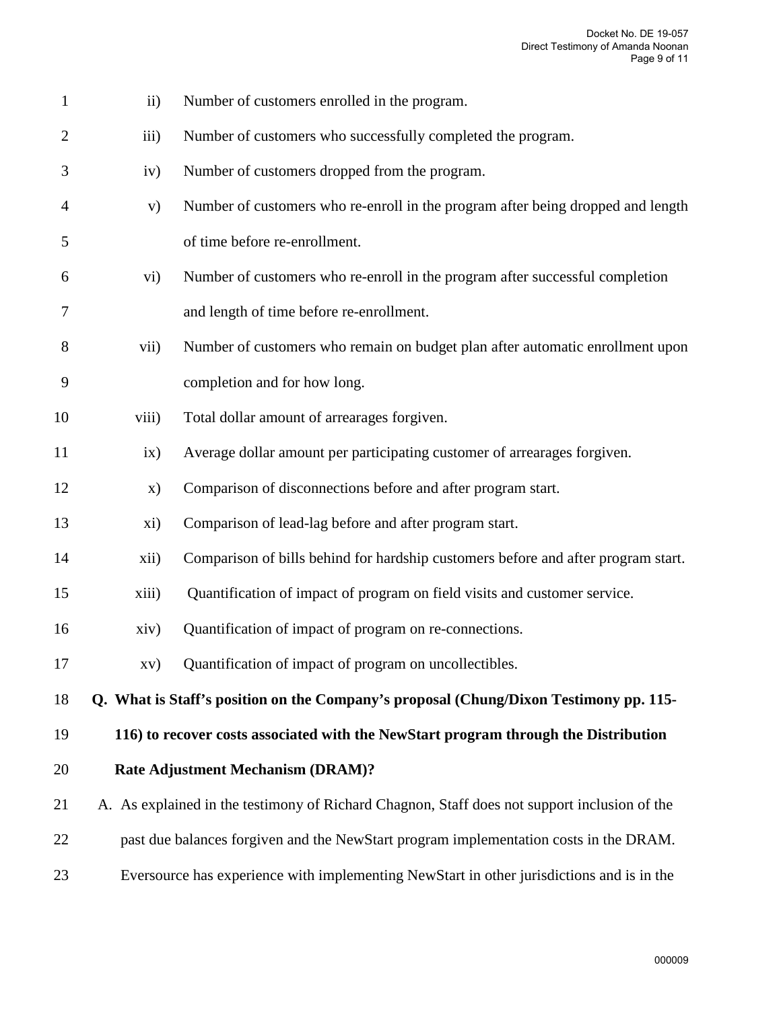| $\mathbf{1}$   | $\mathbf{ii}$                                                                                | Number of customers enrolled in the program.                                              |  |
|----------------|----------------------------------------------------------------------------------------------|-------------------------------------------------------------------------------------------|--|
| $\overline{2}$ | iii)                                                                                         | Number of customers who successfully completed the program.                               |  |
| 3              | iv)                                                                                          | Number of customers dropped from the program.                                             |  |
| 4              | V)                                                                                           | Number of customers who re-enroll in the program after being dropped and length           |  |
| 5              |                                                                                              | of time before re-enrollment.                                                             |  |
| 6              | $\rm vi)$                                                                                    | Number of customers who re-enroll in the program after successful completion              |  |
| 7              |                                                                                              | and length of time before re-enrollment.                                                  |  |
| 8              | vii)                                                                                         | Number of customers who remain on budget plan after automatic enrollment upon             |  |
| 9              |                                                                                              | completion and for how long.                                                              |  |
| 10             | viii)                                                                                        | Total dollar amount of arrearages forgiven.                                               |  |
| 11             | ix)                                                                                          | Average dollar amount per participating customer of arrearages forgiven.                  |  |
| 12             | X)                                                                                           | Comparison of disconnections before and after program start.                              |  |
| 13             | xi)                                                                                          | Comparison of lead-lag before and after program start.                                    |  |
| 14             | xii)                                                                                         | Comparison of bills behind for hardship customers before and after program start.         |  |
| 15             | xiii)                                                                                        | Quantification of impact of program on field visits and customer service.                 |  |
| 16             | xiv)                                                                                         | Quantification of impact of program on re-connections.                                    |  |
| 17             |                                                                                              | Quantification of impact of program on uncollectibles.                                    |  |
| 18             |                                                                                              | Q. What is Staff's position on the Company's proposal (Chung/Dixon Testimony pp. 115-     |  |
| 19             |                                                                                              | 116) to recover costs associated with the NewStart program through the Distribution       |  |
| 20             |                                                                                              | <b>Rate Adjustment Mechanism (DRAM)?</b>                                                  |  |
| 21             | A. As explained in the testimony of Richard Chagnon, Staff does not support inclusion of the |                                                                                           |  |
| 22             | past due balances forgiven and the NewStart program implementation costs in the DRAM.        |                                                                                           |  |
| 23             |                                                                                              | Eversource has experience with implementing NewStart in other jurisdictions and is in the |  |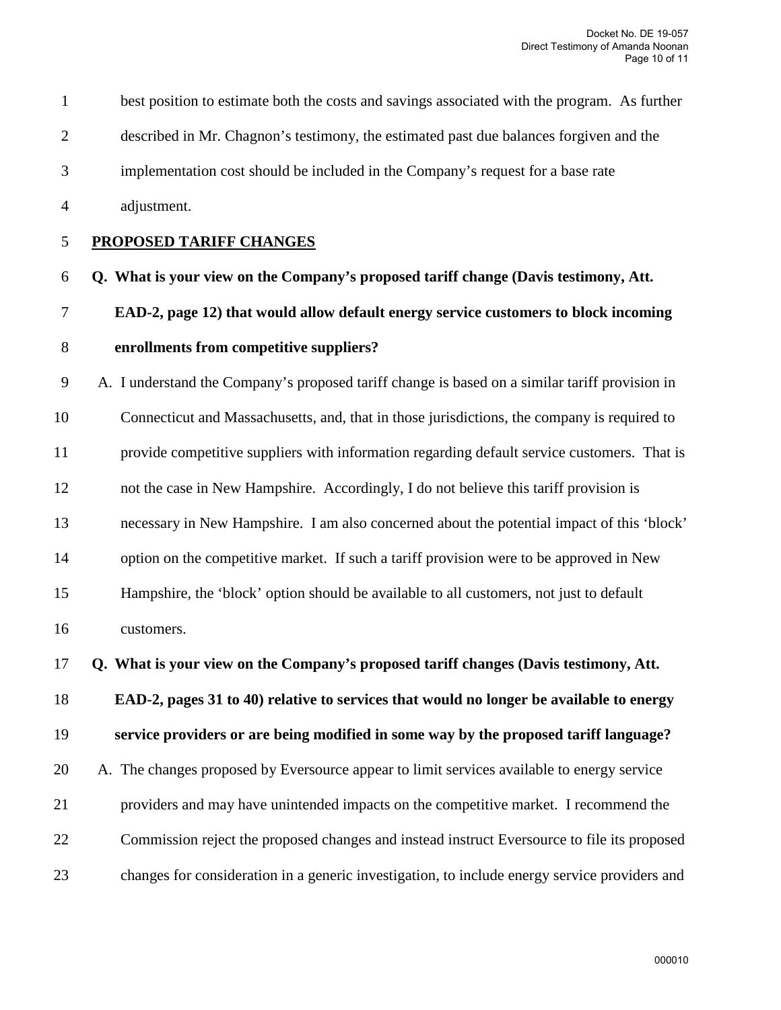1 best position to estimate both the costs and savings associated with the program. As further 2 described in Mr. Chagnon's testimony, the estimated past due balances forgiven and the 3 implementation cost should be included in the Company's request for a base rate 4 adjustment. 5 **PROPOSED TARIFF CHANGES** 6 **Q. What is your view on the Company's proposed tariff change (Davis testimony, Att.** 7 **EAD-2, page 12) that would allow default energy service customers to block incoming**  8 **enrollments from competitive suppliers?** 9 A. I understand the Company's proposed tariff change is based on a similar tariff provision in 10 Connecticut and Massachusetts, and, that in those jurisdictions, the company is required to 11 provide competitive suppliers with information regarding default service customers. That is 12 not the case in New Hampshire. Accordingly, I do not believe this tariff provision is 13 necessary in New Hampshire. I am also concerned about the potential impact of this 'block' 14 option on the competitive market. If such a tariff provision were to be approved in New 15 Hampshire, the 'block' option should be available to all customers, not just to default 16 customers. 17 **Q. What is your view on the Company's proposed tariff changes (Davis testimony, Att.** 18 **EAD-2, pages 31 to 40) relative to services that would no longer be available to energy** 

19 **service providers or are being modified in some way by the proposed tariff language?** 

20 A. The changes proposed by Eversource appear to limit services available to energy service 21 providers and may have unintended impacts on the competitive market. I recommend the 22 Commission reject the proposed changes and instead instruct Eversource to file its proposed 23 changes for consideration in a generic investigation, to include energy service providers and